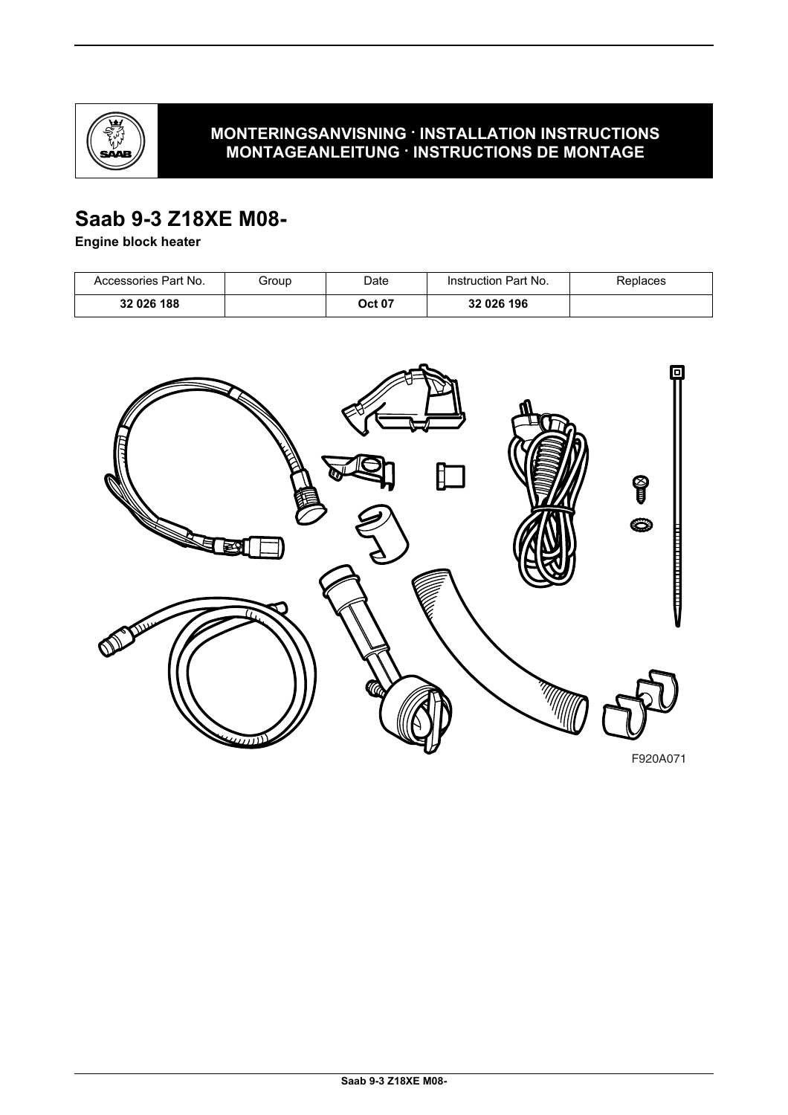

### **MONTERINGSANVISNING · INSTALLATION INSTRUCTIONS MONTAGEANLEITUNG · INSTRUCTIONS DE MONTAGE**

# **Saab 9-3 Z18XE M08-**

#### **Engine block heater**

| Accessories Part No. | Group | Date   | Instruction Part No. | Replaces |
|----------------------|-------|--------|----------------------|----------|
| 32 026 188           |       | Oct 07 | 32 026 196           |          |

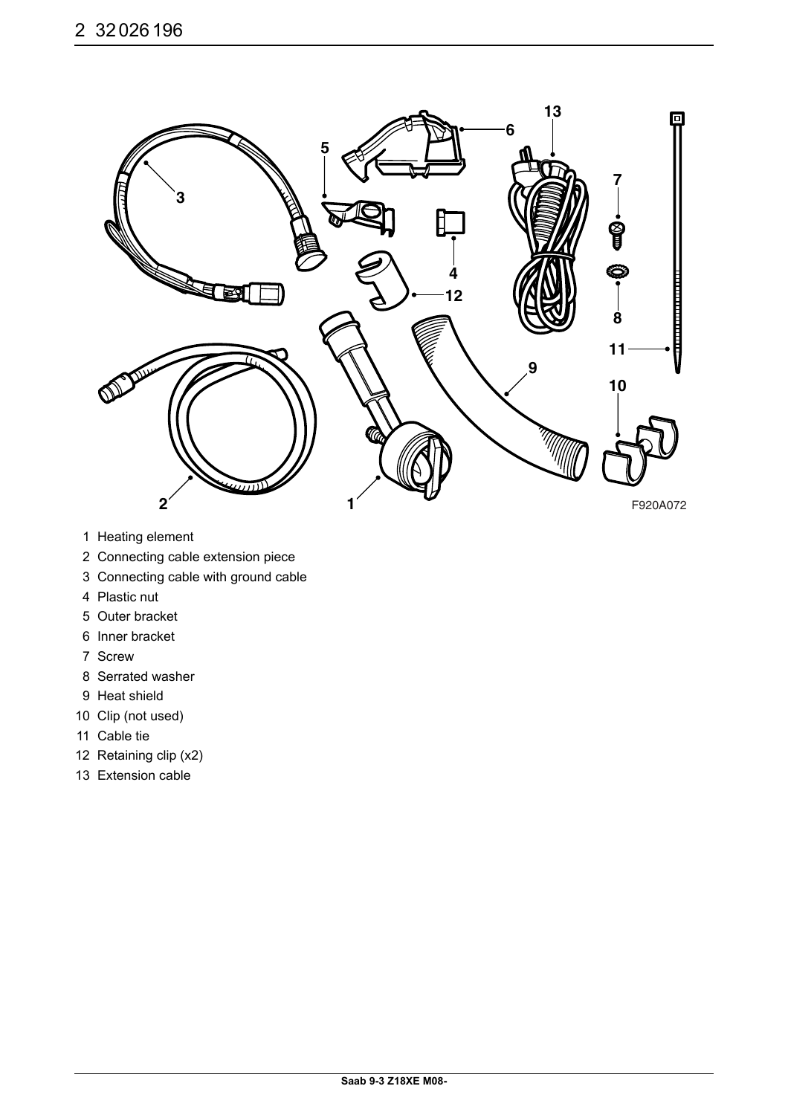

- 1 Heating element
- 2 Connecting cable extension piece
- 3 Connecting cable with ground cable
- 4 Plastic nut
- 5 Outer bracket
- 6 Inner bracket
- 7 Screw
- 8 Serrated washer
- 9 Heat shield
- 10 Clip (not used)
- 11 Cable tie
- 12 Retaining clip (x2)
- 13 Extension cable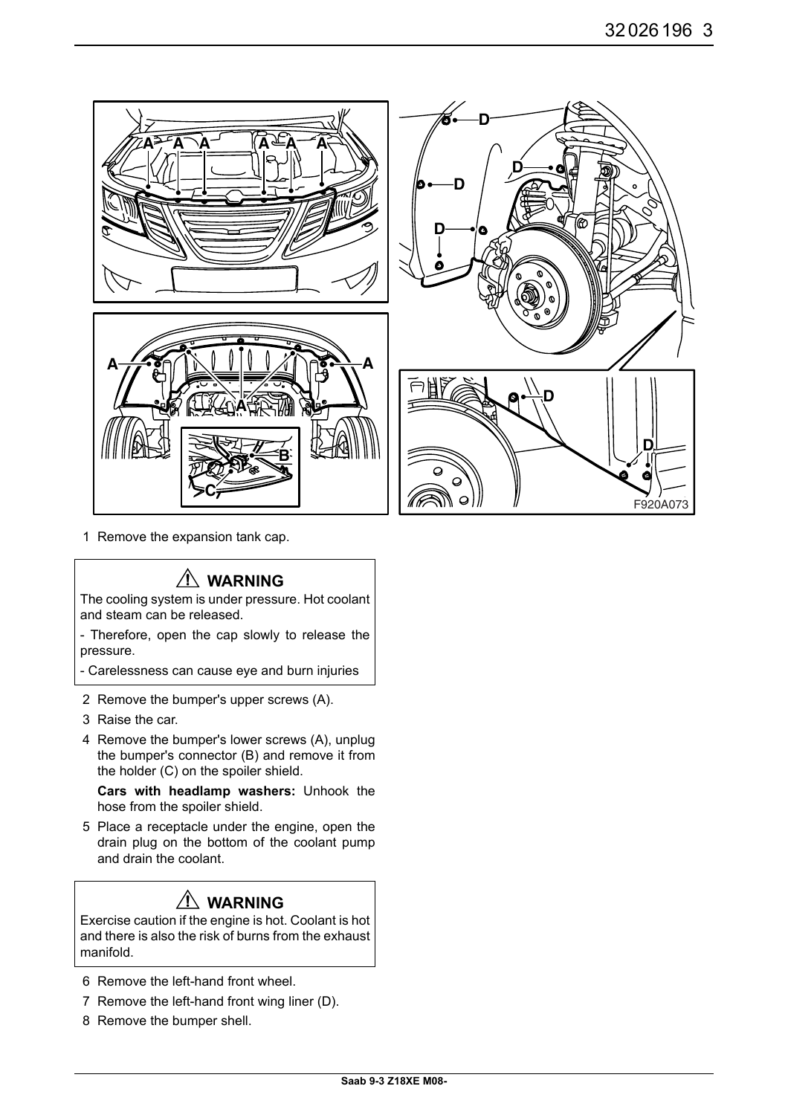

1 Remove the expansion tank cap.

## **WARNING**

The cooling system is under pressure. Hot coolant and steam can be released.

- Therefore, open the cap slowly to release the pressure.

- Carelessness can cause eye and burn injuries

- 2 Remove the bumper's upper screws (A).
- 3 Raise the car.
- 4 Remove the bumper's lower screws (A), unplug the bumper's connector (B) and remove it from the holder (C) on the spoiler shield.

**Cars with headlamp washers:** Unhook the hose from the spoiler shield.

5 Place a receptacle under the engine, open the drain plug on the bottom of the coolant pump and drain the coolant.

# **WARNING**

Exercise caution if the engine is hot. Coolant is hot and there is also the risk of burns from the exhaust manifold.

- 6 Remove the left-hand front wheel.
- 7 Remove the left-hand front wing liner (D).
- 8 Remove the bumper shell.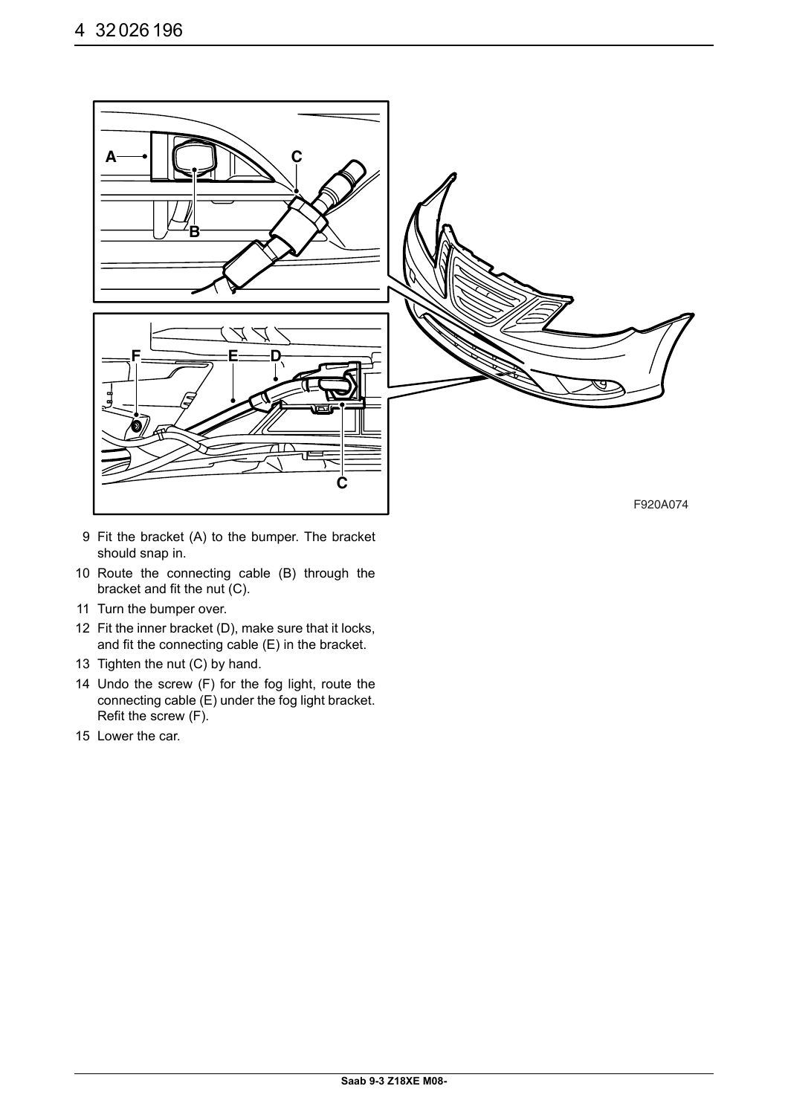

- 9 Fit the bracket (A) to the bumper. The bracket should snap in.
- 10 Route the connecting cable (B) through the bracket and fit the nut (C).
- 11 Turn the bumper over.
- 12 Fit the inner bracket (D), make sure that it locks, and fit the connecting cable (E) in the bracket.
- 13 Tighten the nut (C) by hand.
- 14 Undo the screw (F) for the fog light, route the connecting cable (E) under the fog light bracket. Refit the screw (F).
- 15 Lower the car.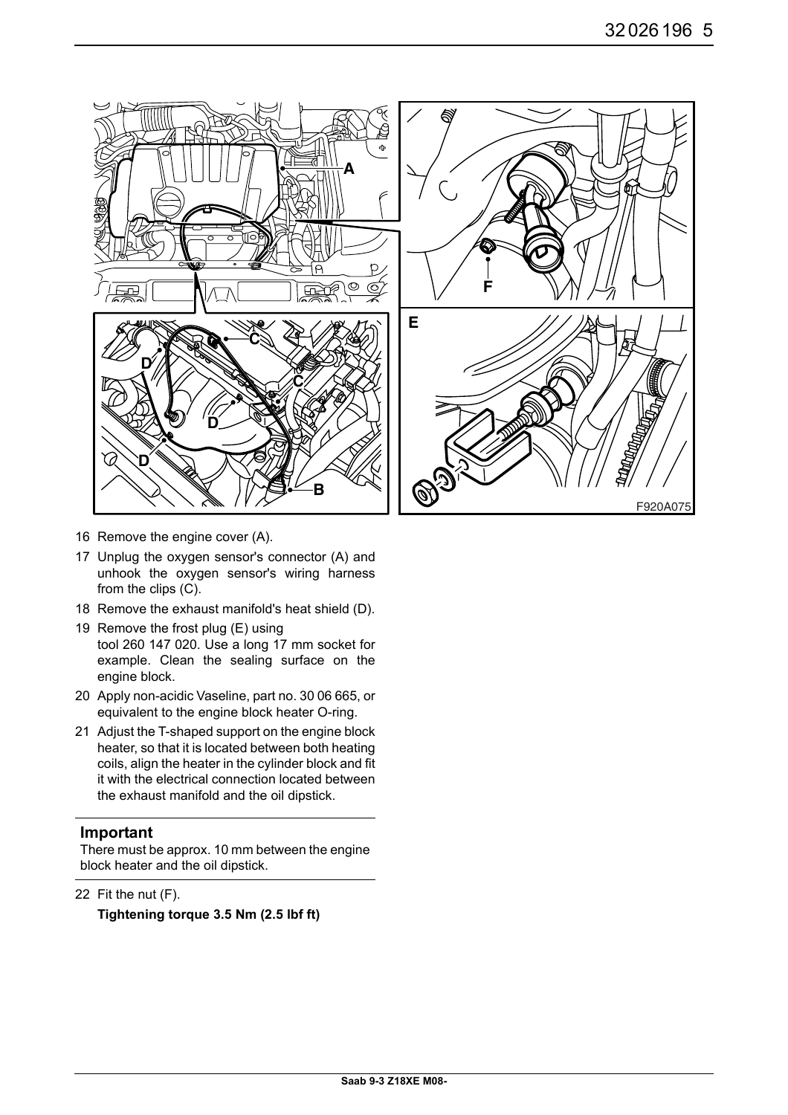

- 16 Remove the engine cover (A).
- 17 Unplug the oxygen sensor's connector (A) and unhook the oxygen sensor's wiring harness from the clips (C).
- 18 Remove the exhaust manifold's heat shield (D).
- 19 Remove the frost plug (E) using tool 260 147 020. Use a long 17 mm socket for example. Clean the sealing surface on the engine block.
- 20 Apply non-acidic Vaseline, part no. 30 06 665, or equivalent to the engine block heater O-ring.
- 21 Adjust the T-shaped support on the engine block heater, so that it is located between both heating coils, align the heater in the cylinder block and fit it with the electrical connection located between the exhaust manifold and the oil dipstick.

#### **Important**

There must be approx. 10 mm between the engine block heater and the oil dipstick.

22 Fit the nut (F).

**Tightening torque 3.5 Nm (2.5 lbf ft)**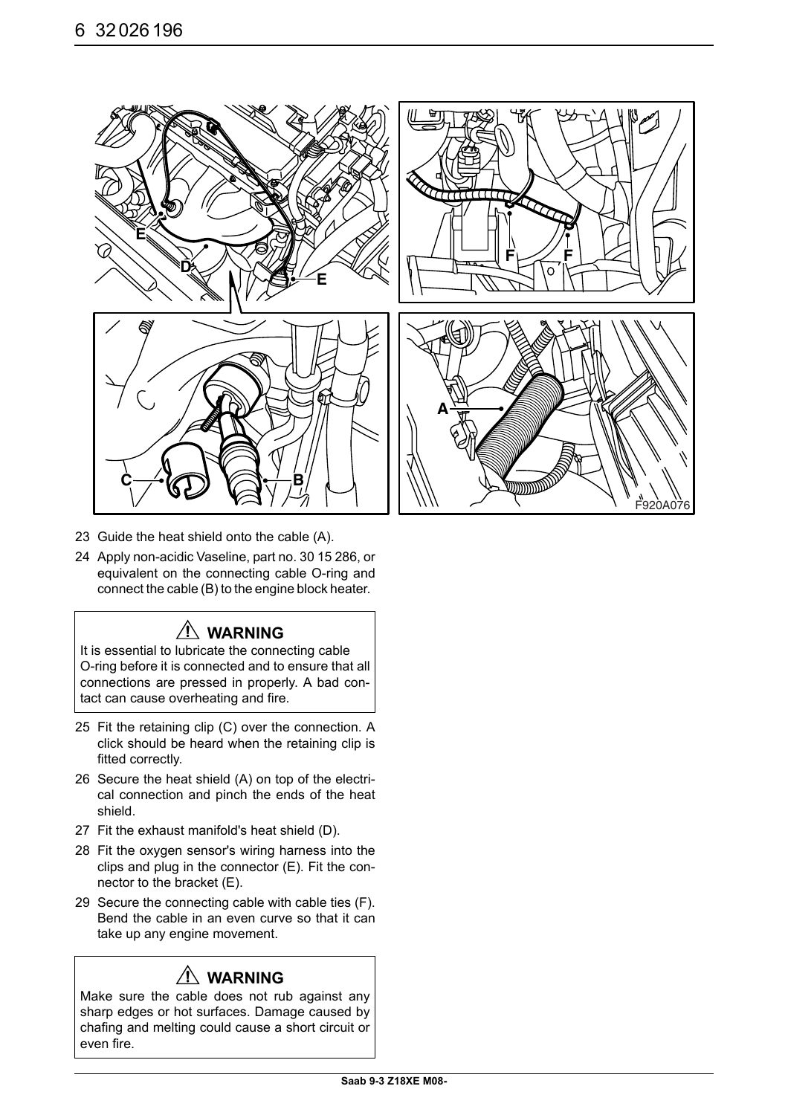

- 23 Guide the heat shield onto the cable (A).
- 24 Apply non-acidic Vaseline, part no. 30 15 286, or equivalent on the connecting cable O-ring and connect the cable (B) to the engine block heater.

### **WARNING**

It is essential to lubricate the connecting cable O-ring before it is connected and to ensure that all connections are pressed in properly. A bad contact can cause overheating and fire.

- 25 Fit the retaining clip (C) over the connection. A click should be heard when the retaining clip is fitted correctly.
- 26 Secure the heat shield (A) on top of the electrical connection and pinch the ends of the heat shield.
- 27 Fit the exhaust manifold's heat shield (D).
- 28 Fit the oxygen sensor's wiring harness into the clips and plug in the connector (E). Fit the connector to the bracket (E).
- 29 Secure the connecting cable with cable ties (F). Bend the cable in an even curve so that it can take up any engine movement.

### **WARNING**

Make sure the cable does not rub against any sharp edges or hot surfaces. Damage caused by chafing and melting could cause a short circuit or even fire.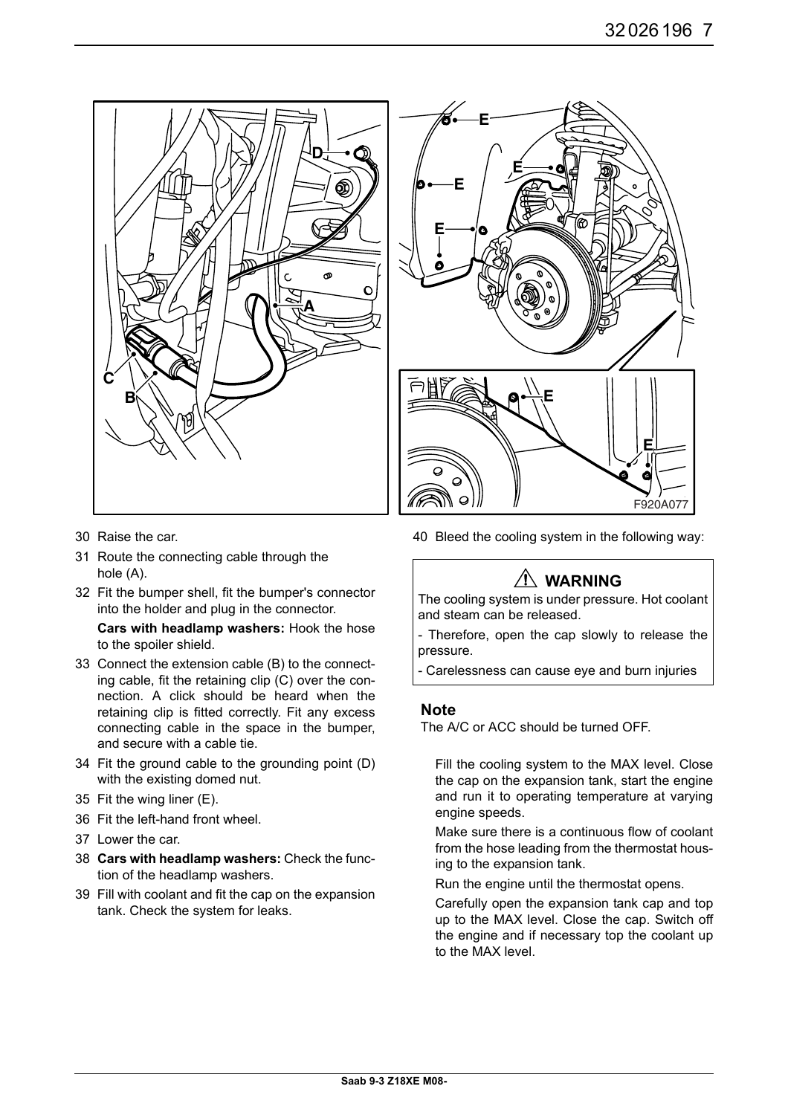![](_page_6_Figure_1.jpeg)

- 30 Raise the car.
- 31 Route the connecting cable through the hole (A).
- 32 Fit the bumper shell, fit the bumper's connector into the holder and plug in the connector.

**Cars with headlamp washers:** Hook the hose to the spoiler shield.

- 33 Connect the extension cable (B) to the connecting cable, fit the retaining clip (C) over the connection. A click should be heard when the retaining clip is fitted correctly. Fit any excess connecting cable in the space in the bumper, and secure with a cable tie.
- 34 Fit the ground cable to the grounding point (D) with the existing domed nut.
- 35 Fit the wing liner (E).
- 36 Fit the left-hand front wheel.
- 37 Lower the car.
- 38 **Cars with headlamp washers:** Check the function of the headlamp washers.
- 39 Fill with coolant and fit the cap on the expansion tank. Check the system for leaks.

![](_page_6_Figure_13.jpeg)

40 Bleed the cooling system in the following way:

# **WARNING**

The cooling system is under pressure. Hot coolant and steam can be released.

- Therefore, open the cap slowly to release the pressure.

- Carelessness can cause eye and burn injuries

#### **Note**

The A/C or ACC should be turned OFF.

Fill the cooling system to the MAX level. Close the cap on the expansion tank, start the engine and run it to operating temperature at varying engine speeds.

Make sure there is a continuous flow of coolant from the hose leading from the thermostat housing to the expansion tank.

Run the engine until the thermostat opens.

Carefully open the expansion tank cap and top up to the MAX level. Close the cap. Switch off the engine and if necessary top the coolant up to the MAX level.